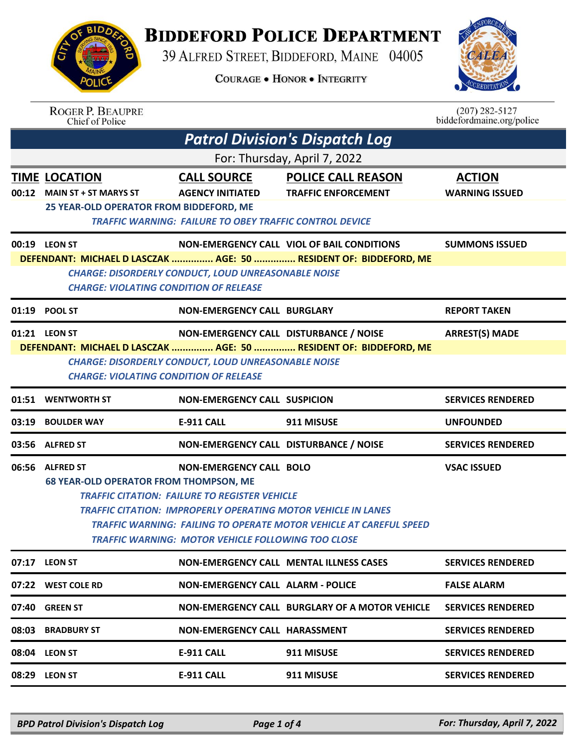## **BIDDEFORD POLICE DEPARTMENT**

39 ALFRED STREET, BIDDEFORD, MAINE 04005

**COURAGE . HONOR . INTEGRITY** 



| ハロー                                           |                                                                |                                                                                                                 | COREDITATION                                  |
|-----------------------------------------------|----------------------------------------------------------------|-----------------------------------------------------------------------------------------------------------------|-----------------------------------------------|
| <b>ROGER P. BEAUPRE</b><br>Chief of Police    |                                                                |                                                                                                                 | $(207)$ 282-5127<br>biddefordmaine.org/police |
|                                               |                                                                | <b>Patrol Division's Dispatch Log</b>                                                                           |                                               |
|                                               |                                                                | For: Thursday, April 7, 2022                                                                                    |                                               |
| TIME LOCATION                                 | <b>CALL SOURCE</b>                                             | <b>POLICE CALL REASON</b>                                                                                       | <b>ACTION</b>                                 |
| 00:12 MAIN ST + ST MARYS ST                   | <b>AGENCY INITIATED</b>                                        | <b>TRAFFIC ENFORCEMENT</b>                                                                                      | <b>WARNING ISSUED</b>                         |
| 25 YEAR-OLD OPERATOR FROM BIDDEFORD, ME       | <b>TRAFFIC WARNING: FAILURE TO OBEY TRAFFIC CONTROL DEVICE</b> |                                                                                                                 |                                               |
|                                               |                                                                |                                                                                                                 |                                               |
| 00:19 LEON ST                                 |                                                                | NON-EMERGENCY CALL VIOL OF BAIL CONDITIONS<br>DEFENDANT: MICHAEL D LASCZAK  AGE: 50  RESIDENT OF: BIDDEFORD, ME | <b>SUMMONS ISSUED</b>                         |
|                                               | <b>CHARGE: DISORDERLY CONDUCT, LOUD UNREASONABLE NOISE</b>     |                                                                                                                 |                                               |
| <b>CHARGE: VIOLATING CONDITION OF RELEASE</b> |                                                                |                                                                                                                 |                                               |
| 01:19 POOL ST                                 | NON-EMERGENCY CALL BURGLARY                                    |                                                                                                                 | <b>REPORT TAKEN</b>                           |
| 01:21 LEON ST                                 | NON-EMERGENCY CALL DISTURBANCE / NOISE                         |                                                                                                                 | <b>ARREST(S) MADE</b>                         |
|                                               |                                                                | DEFENDANT: MICHAEL D LASCZAK  AGE: 50  RESIDENT OF: BIDDEFORD, ME                                               |                                               |
|                                               | <b>CHARGE: DISORDERLY CONDUCT, LOUD UNREASONABLE NOISE</b>     |                                                                                                                 |                                               |
| <b>CHARGE: VIOLATING CONDITION OF RELEASE</b> |                                                                |                                                                                                                 |                                               |
|                                               |                                                                |                                                                                                                 |                                               |
| 01:51 WENTWORTH ST                            | <b>NON-EMERGENCY CALL SUSPICION</b>                            |                                                                                                                 | <b>SERVICES RENDERED</b>                      |
| 03:19 BOULDER WAY                             | <b>E-911 CALL</b>                                              | 911 MISUSE                                                                                                      | <b>UNFOUNDED</b>                              |
| 03:56 ALFRED ST                               | NON-EMERGENCY CALL DISTURBANCE / NOISE                         |                                                                                                                 | <b>SERVICES RENDERED</b>                      |
| 06:56 ALFRED ST                               | <b>NON-EMERGENCY CALL BOLO</b>                                 |                                                                                                                 | <b>VSAC ISSUED</b>                            |
| <b>68 YEAR-OLD OPERATOR FROM THOMPSON, ME</b> |                                                                |                                                                                                                 |                                               |
|                                               | <b>TRAFFIC CITATION: FAILURE TO REGISTER VEHICLE</b>           |                                                                                                                 |                                               |
|                                               |                                                                | <b>TRAFFIC CITATION: IMPROPERLY OPERATING MOTOR VEHICLE IN LANES</b>                                            |                                               |
|                                               | <b>TRAFFIC WARNING: MOTOR VEHICLE FOLLOWING TOO CLOSE</b>      | TRAFFIC WARNING:  FAILING TO OPERATE MOTOR VEHICLE AT CAREFUL SPEED                                             |                                               |
| 07:17 LEON ST                                 |                                                                | <b>NON-EMERGENCY CALL MENTAL ILLNESS CASES</b>                                                                  | <b>SERVICES RENDERED</b>                      |
| 07:22 WEST COLE RD                            | <b>NON-EMERGENCY CALL ALARM - POLICE</b>                       |                                                                                                                 | <b>FALSE ALARM</b>                            |
| 07:40 GREEN ST                                |                                                                | NON-EMERGENCY CALL BURGLARY OF A MOTOR VEHICLE                                                                  | <b>SERVICES RENDERED</b>                      |
| 08:03 BRADBURY ST                             | <b>NON-EMERGENCY CALL HARASSMENT</b>                           |                                                                                                                 | <b>SERVICES RENDERED</b>                      |
| 08:04 LEON ST                                 | <b>E-911 CALL</b>                                              | 911 MISUSE                                                                                                      | <b>SERVICES RENDERED</b>                      |

*BPD Patrol Division's Dispatch Log Page 1 of 4 For: Thursday, April 7, 2022*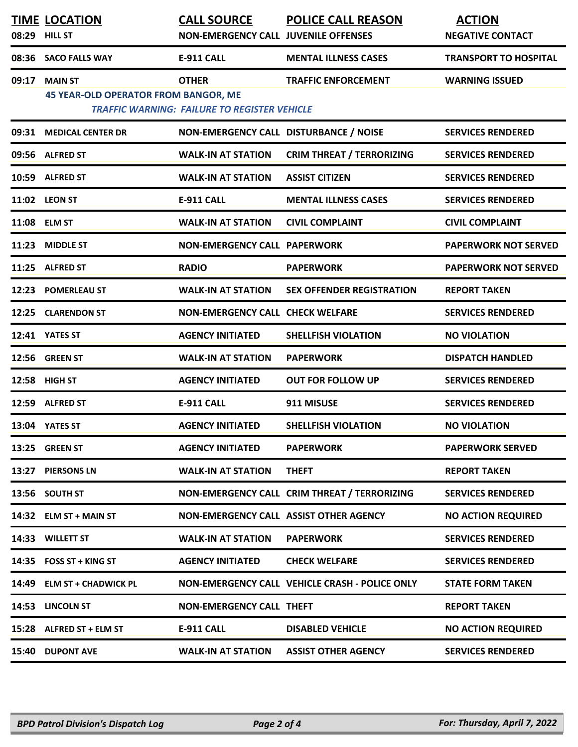|       | <b>TIME LOCATION</b><br>08:29 HILL ST                        | <b>CALL SOURCE</b><br><b>NON-EMERGENCY CALL JUVENILE OFFENSES</b>   | <b>POLICE CALL REASON</b>                             | <b>ACTION</b><br><b>NEGATIVE CONTACT</b> |
|-------|--------------------------------------------------------------|---------------------------------------------------------------------|-------------------------------------------------------|------------------------------------------|
|       | 08:36 SACO FALLS WAY                                         | <b>E-911 CALL</b>                                                   | <b>MENTAL ILLNESS CASES</b>                           | <b>TRANSPORT TO HOSPITAL</b>             |
|       | 09:17 MAIN ST<br><b>45 YEAR-OLD OPERATOR FROM BANGOR, ME</b> | <b>OTHER</b><br><b>TRAFFIC WARNING: FAILURE TO REGISTER VEHICLE</b> | <b>TRAFFIC ENFORCEMENT</b>                            | <b>WARNING ISSUED</b>                    |
|       | 09:31 MEDICAL CENTER DR                                      | NON-EMERGENCY CALL DISTURBANCE / NOISE                              |                                                       | <b>SERVICES RENDERED</b>                 |
|       | 09:56 ALFRED ST                                              | <b>WALK-IN AT STATION</b>                                           | <b>CRIM THREAT / TERRORIZING</b>                      | <b>SERVICES RENDERED</b>                 |
|       | 10:59 ALFRED ST                                              | <b>WALK-IN AT STATION</b>                                           | <b>ASSIST CITIZEN</b>                                 | <b>SERVICES RENDERED</b>                 |
|       | 11:02 LEON ST                                                | <b>E-911 CALL</b>                                                   | <b>MENTAL ILLNESS CASES</b>                           | <b>SERVICES RENDERED</b>                 |
|       | 11:08 ELM ST                                                 | <b>WALK-IN AT STATION</b>                                           | <b>CIVIL COMPLAINT</b>                                | <b>CIVIL COMPLAINT</b>                   |
|       | 11:23 MIDDLE ST                                              | <b>NON-EMERGENCY CALL PAPERWORK</b>                                 |                                                       | <b>PAPERWORK NOT SERVED</b>              |
|       | 11:25 ALFRED ST                                              | <b>RADIO</b>                                                        | <b>PAPERWORK</b>                                      | <b>PAPERWORK NOT SERVED</b>              |
|       | 12:23 POMERLEAU ST                                           | <b>WALK-IN AT STATION</b>                                           | <b>SEX OFFENDER REGISTRATION</b>                      | <b>REPORT TAKEN</b>                      |
|       | 12:25 CLARENDON ST                                           | NON-EMERGENCY CALL CHECK WELFARE                                    |                                                       | <b>SERVICES RENDERED</b>                 |
|       | 12:41 YATES ST                                               | <b>AGENCY INITIATED</b>                                             | <b>SHELLFISH VIOLATION</b>                            | <b>NO VIOLATION</b>                      |
|       | 12:56 GREEN ST                                               | <b>WALK-IN AT STATION</b>                                           | <b>PAPERWORK</b>                                      | <b>DISPATCH HANDLED</b>                  |
| 12:58 | <b>HIGH ST</b>                                               | <b>AGENCY INITIATED</b>                                             | <b>OUT FOR FOLLOW UP</b>                              | <b>SERVICES RENDERED</b>                 |
|       | 12:59 ALFRED ST                                              | <b>E-911 CALL</b>                                                   | 911 MISUSE                                            | <b>SERVICES RENDERED</b>                 |
|       | 13:04 YATES ST                                               | <b>AGENCY INITIATED</b>                                             | <b>SHELLFISH VIOLATION</b>                            | <b>NO VIOLATION</b>                      |
|       | 13:25 GREEN ST                                               | <b>AGENCY INITIATED</b>                                             | <b>PAPERWORK</b>                                      | <b>PAPERWORK SERVED</b>                  |
|       | 13:27 PIERSONS LN                                            | <b>WALK-IN AT STATION</b>                                           | <b>THEFT</b>                                          | <b>REPORT TAKEN</b>                      |
|       | 13:56 SOUTH ST                                               |                                                                     | NON-EMERGENCY CALL CRIM THREAT / TERRORIZING          | <b>SERVICES RENDERED</b>                 |
|       | 14:32 ELM ST + MAIN ST                                       |                                                                     | NON-EMERGENCY CALL ASSIST OTHER AGENCY                | <b>NO ACTION REQUIRED</b>                |
|       | 14:33 WILLETT ST                                             | <b>WALK-IN AT STATION</b>                                           | <b>PAPERWORK</b>                                      | <b>SERVICES RENDERED</b>                 |
|       | 14:35 FOSS ST + KING ST                                      | <b>AGENCY INITIATED</b>                                             | <b>CHECK WELFARE</b>                                  | <b>SERVICES RENDERED</b>                 |
|       | 14:49 ELM ST + CHADWICK PL                                   |                                                                     | <b>NON-EMERGENCY CALL VEHICLE CRASH - POLICE ONLY</b> | <b>STATE FORM TAKEN</b>                  |
|       | 14:53 LINCOLN ST                                             | <b>NON-EMERGENCY CALL THEFT</b>                                     |                                                       | <b>REPORT TAKEN</b>                      |
|       | 15:28 ALFRED ST + ELM ST                                     | <b>E-911 CALL</b>                                                   | <b>DISABLED VEHICLE</b>                               | <b>NO ACTION REQUIRED</b>                |
|       | 15:40 DUPONT AVE                                             | <b>WALK-IN AT STATION</b>                                           | <b>ASSIST OTHER AGENCY</b>                            | <b>SERVICES RENDERED</b>                 |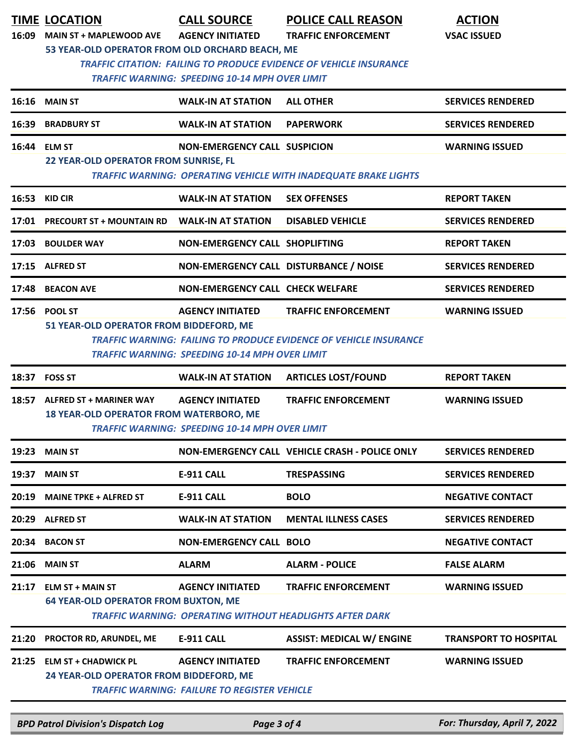| 16:09 | <b>TIME LOCATION</b><br><b>MAIN ST + MAPLEWOOD AVE</b><br>53 YEAR-OLD OPERATOR FROM OLD ORCHARD BEACH, ME | <b>CALL SOURCE</b><br><b>AGENCY INITIATED</b><br><b>TRAFFIC WARNING: SPEEDING 10-14 MPH OVER LIMIT</b> | <b>POLICE CALL REASON</b><br><b>TRAFFIC ENFORCEMENT</b><br><b>TRAFFIC CITATION: FAILING TO PRODUCE EVIDENCE OF VEHICLE INSURANCE</b> | <b>ACTION</b><br><b>VSAC ISSUED</b> |
|-------|-----------------------------------------------------------------------------------------------------------|--------------------------------------------------------------------------------------------------------|--------------------------------------------------------------------------------------------------------------------------------------|-------------------------------------|
|       | 16:16 MAIN ST                                                                                             | <b>WALK-IN AT STATION</b>                                                                              | <b>ALL OTHER</b>                                                                                                                     | <b>SERVICES RENDERED</b>            |
| 16:39 | <b>BRADBURY ST</b>                                                                                        | <b>WALK-IN AT STATION</b>                                                                              | <b>PAPERWORK</b>                                                                                                                     | <b>SERVICES RENDERED</b>            |
|       | 16:44 ELM ST<br>22 YEAR-OLD OPERATOR FROM SUNRISE, FL                                                     | <b>NON-EMERGENCY CALL SUSPICION</b>                                                                    | TRAFFIC WARNING: OPERATING VEHICLE WITH INADEQUATE BRAKE LIGHTS                                                                      | <b>WARNING ISSUED</b>               |
|       | 16:53 KID CIR                                                                                             | <b>WALK-IN AT STATION</b>                                                                              | <b>SEX OFFENSES</b>                                                                                                                  | <b>REPORT TAKEN</b>                 |
|       | 17:01 PRECOURT ST + MOUNTAIN RD                                                                           | <b>WALK-IN AT STATION</b>                                                                              | <b>DISABLED VEHICLE</b>                                                                                                              | <b>SERVICES RENDERED</b>            |
| 17:03 | <b>BOULDER WAY</b>                                                                                        | <b>NON-EMERGENCY CALL SHOPLIFTING</b>                                                                  |                                                                                                                                      | <b>REPORT TAKEN</b>                 |
|       | 17:15 ALFRED ST                                                                                           | NON-EMERGENCY CALL DISTURBANCE / NOISE                                                                 |                                                                                                                                      | <b>SERVICES RENDERED</b>            |
| 17:48 | <b>BEACON AVE</b>                                                                                         | <b>NON-EMERGENCY CALL CHECK WELFARE</b>                                                                |                                                                                                                                      | <b>SERVICES RENDERED</b>            |
|       | 17:56 POOL ST<br>51 YEAR-OLD OPERATOR FROM BIDDEFORD, ME                                                  | <b>AGENCY INITIATED</b><br><b>TRAFFIC WARNING: SPEEDING 10-14 MPH OVER LIMIT</b>                       | <b>TRAFFIC ENFORCEMENT</b><br><b>TRAFFIC WARNING: FAILING TO PRODUCE EVIDENCE OF VEHICLE INSURANCE</b>                               | <b>WARNING ISSUED</b>               |
|       | 18:37 FOSS ST                                                                                             | <b>WALK-IN AT STATION</b>                                                                              | <b>ARTICLES LOST/FOUND</b>                                                                                                           | <b>REPORT TAKEN</b>                 |
| 18:57 | <b>ALFRED ST + MARINER WAY</b><br><b>18 YEAR-OLD OPERATOR FROM WATERBORO, ME</b>                          | <b>AGENCY INITIATED</b><br><b>TRAFFIC WARNING: SPEEDING 10-14 MPH OVER LIMIT</b>                       | <b>TRAFFIC ENFORCEMENT</b>                                                                                                           | <b>WARNING ISSUED</b>               |
| 19:23 | <b>MAIN ST</b>                                                                                            |                                                                                                        | NON-EMERGENCY CALL VEHICLE CRASH - POLICE ONLY                                                                                       | <b>SERVICES RENDERED</b>            |
| 19:37 | <b>MAIN ST</b>                                                                                            | <b>E-911 CALL</b>                                                                                      | <b>TRESPASSING</b>                                                                                                                   | <b>SERVICES RENDERED</b>            |
| 20:19 | <b>MAINE TPKE + ALFRED ST</b>                                                                             | <b>E-911 CALL</b>                                                                                      | <b>BOLO</b>                                                                                                                          | <b>NEGATIVE CONTACT</b>             |
| 20:29 | <b>ALFRED ST</b>                                                                                          | <b>WALK-IN AT STATION</b>                                                                              | <b>MENTAL ILLNESS CASES</b>                                                                                                          | <b>SERVICES RENDERED</b>            |
| 20:34 | <b>BACON ST</b>                                                                                           | <b>NON-EMERGENCY CALL BOLO</b>                                                                         |                                                                                                                                      | <b>NEGATIVE CONTACT</b>             |
| 21:06 | <b>MAIN ST</b>                                                                                            | <b>ALARM</b>                                                                                           | <b>ALARM - POLICE</b>                                                                                                                | <b>FALSE ALARM</b>                  |
| 21:17 | <b>ELM ST + MAIN ST</b><br><b>64 YEAR-OLD OPERATOR FROM BUXTON, ME</b>                                    | <b>AGENCY INITIATED</b>                                                                                | <b>TRAFFIC ENFORCEMENT</b><br><b>TRAFFIC WARNING: OPERATING WITHOUT HEADLIGHTS AFTER DARK</b>                                        | <b>WARNING ISSUED</b>               |
| 21:20 | PROCTOR RD, ARUNDEL, ME                                                                                   | <b>E-911 CALL</b>                                                                                      | <b>ASSIST: MEDICAL W/ ENGINE</b>                                                                                                     | <b>TRANSPORT TO HOSPITAL</b>        |
| 21:25 | <b>ELM ST + CHADWICK PL</b><br>24 YEAR-OLD OPERATOR FROM BIDDEFORD, ME                                    | <b>AGENCY INITIATED</b><br><b>TRAFFIC WARNING: FAILURE TO REGISTER VEHICLE</b>                         | <b>TRAFFIC ENFORCEMENT</b>                                                                                                           | <b>WARNING ISSUED</b>               |

*BPD Patrol Division's Dispatch Log Page 3 of 4 For: Thursday, April 7, 2022*